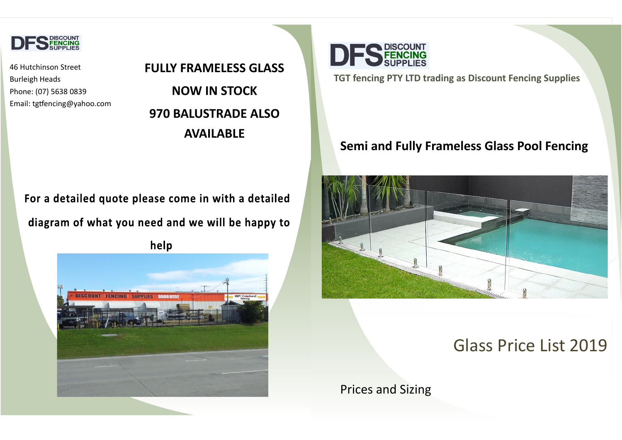

46 Hutchinson Street Burleigh Heads Phone: (07) 5638 0839 Email: tgtfencing@yahoo.com

**TGT fencing PTY LTD trading as Discount Fencing Supplies**

### **Semi and Fully Frameless Glass Pool Fencing**



# Glass Price List 2019

Prices and Sizing

# **FULLY FRAMELESS GLASS NOW IN STOCK 970 BALUSTRADE ALSO AVAILABLE**

## For a detailed quote please come in with a detailed

# diagram of what you need and we will be happy to

help